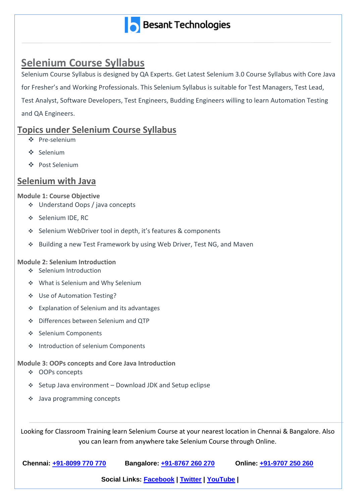

## **Selenium Course Syllabus**

Selenium Course Syllabus is designed by QA Experts. Get Latest Selenium 3.0 Course Syllabus with Core Java for Fresher's and Working Professionals. This Selenium Syllabus is suitable for Test Managers, Test Lead, Test Analyst, Software Developers, Test Engineers, Budding Engineers willing to learn Automation Testing and QA Engineers.

### **Topics under Selenium Course Syllabus**

- Pre-selenium
- Selenium
- Post Selenium

### **Selenium with Java**

#### **Module 1: Course Objective**

- Understand Oops / java concepts
- ❖ Selenium IDE, RC
- Selenium WebDriver tool in depth, it's features & components
- Building a new Test Framework by using Web Driver, Test NG, and Maven

#### **Module 2: Selenium Introduction**

- ❖ Selenium Introduction
- ❖ What is Selenium and Why Selenium
- Use of Automation Testing?
- Explanation of Selenium and its advantages
- Differences between Selenium and QTP
- ❖ Selenium Components
- ❖ Introduction of selenium Components

### **Module 3: OOPs concepts and Core Java Introduction**

- ❖ OOPs concepts
- $\div$  Setup Java environment Download JDK and Setup eclipse
- Java programming concepts

Looking for Classroom Training learn Selenium Course at your nearest location in Chennai & Bangalore. Also you can learn from anywhere take Selenium Course through Online.

| Chennai: +91-8099 770 770 | Bangalore: +91-8767 260 270 | Online: +91-9707 250 260 |
|---------------------------|-----------------------------|--------------------------|
|---------------------------|-----------------------------|--------------------------|

**Social Links: [Facebook](https://www.facebook.com/BesantTechnologies) | [Twitter](https://twitter.com/besanttech) | [YouTube](https://www.youtube.com/playlist?list=PLIOAGNixNca1taN5mkw6eVmrtVX7GazjL) | [Instagram](https://www.instagram.com/besant_technologies/)**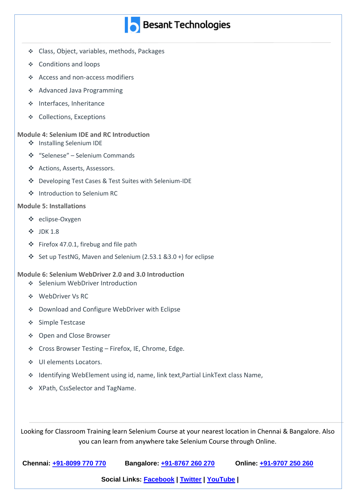- Class, Object, variables, methods, Packages
- ❖ Conditions and loops
- Access and non-access modifiers
- ❖ Advanced Java Programming
- Interfaces, Inheritance
- ❖ Collections, Exceptions

#### **Module 4: Selenium IDE and RC Introduction**

- Installing Selenium IDE
- "Selenese" Selenium Commands
- Actions, Asserts, Assessors.
- Developing Test Cases & Test Suites with Selenium-IDE
- Introduction to Selenium RC

#### **Module 5: Installations**

- eclipse-Oxygen
- JDK 1.8
- $\div$  Firefox 47.0.1, firebug and file path
- Set up TestNG, Maven and Selenium (2.53.1 & 3.0 +) for eclipse

#### **Module 6: Selenium WebDriver 2.0 and 3.0 Introduction**

- ❖ Selenium WebDriver Introduction
- WebDriver Vs RC
- Download and Configure WebDriver with Eclipse
- ❖ Simple Testcase
- ◆ Open and Close Browser
- Cross Browser Testing Firefox, IE, Chrome, Edge.

**[Instagram](https://www.instagram.com/besant_technologies/)**

- UI elements Locators.
- Identifying WebElement using id, name, link text,Partial LinkText class Name,
- XPath, CssSelector and TagName.

Looking for Classroom Training learn Selenium Course at your nearest location in Chennai & Bangalore. Also you can learn from anywhere take Selenium Course through Online.

| Online: +91-9707 250 260    |
|-----------------------------|
| Bangalore: +91-8767 260 270 |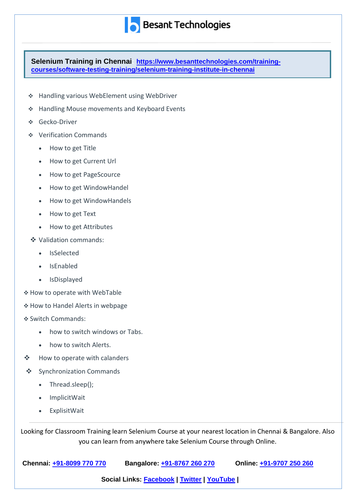**Selenium Training in Chennai: [https://www.besanttechnologies.com/training](https://www.besanttechnologies.com/training-courses/software-testing-training/selenium-training-institute-in-chennai)[courses/software-testing-training/selenium-training-institute-in-chennai](https://www.besanttechnologies.com/training-courses/software-testing-training/selenium-training-institute-in-chennai)**

- Handling various WebElement using WebDriver
- \* Handling Mouse movements and Keyboard Events
- Gecko-Driver
- Verification Commands
	- How to get Title
	- How to get Current Url
	- How to get PageScource
	- How to get WindowHandel
	- How to get WindowHandels
	- How to get Text
	- How to get Attributes
- ❖ Validation commands:
	- IsSelected
	- IsEnabled
	- IsDisplayed
- How to operate with WebTable
- \* How to Handel Alerts in webpage
- Switch Commands:
	- how to switch windows or Tabs.

**[Instagram](https://www.instagram.com/besant_technologies/)**

- how to switch Alerts.
- ❖ How to operate with calanders
- ❖ Synchronization Commands
	- Thread.sleep();
	- ImplicitWait
	- ExplisitWait

Looking for Classroom Training learn Selenium Course at your nearest location in Chennai & Bangalore. Also you can learn from anywhere take Selenium Course through Online.

| Chennai: +91-8099 770 770                  | Bangalore: +91-8767 260 270 | Online: +91-9707 250 260 |
|--------------------------------------------|-----------------------------|--------------------------|
| Social Links: Facebook   Twitter   YouTube |                             |                          |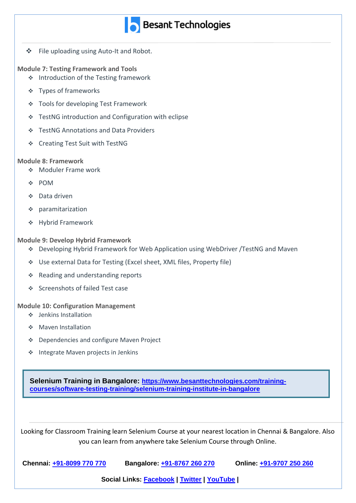- ❖ File uploading using Auto-It and Robot.
- **Module 7: Testing Framework and Tools**
	- ❖ Introduction of the Testing framework
	- Types of frameworks
	- Tools for developing Test Framework
	- TestNG introduction and Configuration with eclipse
	- TestNG Annotations and Data Providers
	- Creating Test Suit with TestNG

#### **Module 8: Framework**

- **Moduler Frame work**
- POM
- Data driven
- paramitarization
- Hybrid Framework

#### **Module 9: Develop Hybrid Framework**

- Developing Hybrid Framework for Web Application using WebDriver /TestNG and Maven
- Use external Data for Testing (Excel sheet, XML files, Property file)
- ❖ Reading and understanding reports
- ❖ Screenshots of failed Test case

#### **Module 10: Configuration Management**

- Jenkins Installation
- ◆ Maven Installation
- ❖ Dependencies and configure Maven Project
- ❖ Integrate Maven projects in Jenkins

**Selenium Training in Bangalore: [https://www.besanttechnologies.com/training](https://www.besanttechnologies.com/training-courses/software-testing-training/selenium-training-institute-in-bangalore)[courses/software-testing-training/selenium-training-institute-in-bangalore](https://www.besanttechnologies.com/training-courses/software-testing-training/selenium-training-institute-in-bangalore)**

Looking for Classroom Training learn Selenium Course at your nearest location in Chennai & Bangalore. Also you can learn from anywhere take Selenium Course through Online.

**[Instagram](https://www.instagram.com/besant_technologies/)**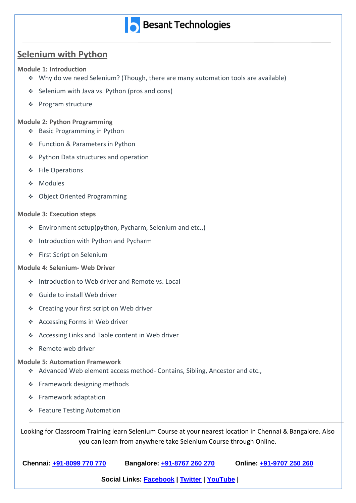

## **Selenium with Python**

#### **Module 1: Introduction**

- Why do we need Selenium? (Though, there are many automation tools are available)
- ❖ Selenium with Java vs. Python (pros and cons)
- ❖ Program structure

#### **Module 2: Python Programming**

- ❖ Basic Programming in Python
- ❖ Function & Parameters in Python
- ❖ Python Data structures and operation
- ❖ File Operations
- Modules
- Object Oriented Programming

#### **Module 3: Execution steps**

- \* Environment setup(python, Pycharm, Selenium and etc.,)
- ❖ Introduction with Python and Pycharm
- First Script on Selenium

#### **Module 4: Selenium- Web Driver**

- ❖ Introduction to Web driver and Remote vs. Local
- Guide to install Web driver
- Creating your first script on Web driver
- Accessing Forms in Web driver
- Accessing Links and Table content in Web driver
- ❖ Remote web driver

#### **Module 5: Automation Framework**

- Advanced Web element access method- Contains, Sibling, Ancestor and etc.,
- ❖ Framework designing methods
- Framework adaptation
- ❖ Feature Testing Automation

Looking for Classroom Training learn Selenium Course at your nearest location in Chennai & Bangalore. Also you can learn from anywhere take Selenium Course through Online.

| Chennai: +91-8099 770 770 | Bangalore: +91-8767 260 270 | Online: +91-9707 250 260 |
|---------------------------|-----------------------------|--------------------------|
|                           |                             |                          |

**Social Links: [Facebook](https://www.facebook.com/BesantTechnologies) | [Twitter](https://twitter.com/besanttech) | [YouTube](https://www.youtube.com/playlist?list=PLIOAGNixNca1taN5mkw6eVmrtVX7GazjL) | [Instagram](https://www.instagram.com/besant_technologies/)**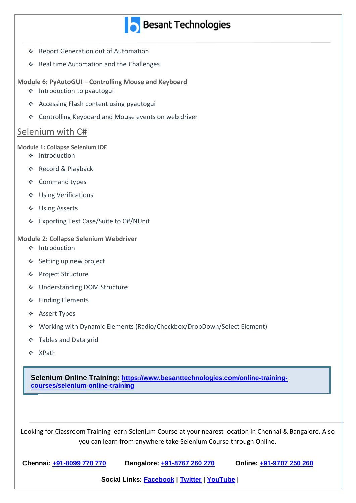- ❖ Report Generation out of Automation
- ❖ Real time Automation and the Challenges

**Module 6: PyAutoGUI – Controlling Mouse and Keyboard**

- ❖ Introduction to pyautogui
- Accessing Flash content using pyautogui
- Controlling Keyboard and Mouse events on web driver

### Selenium with C#

#### **Module 1: Collapse Selenium IDE**

- ❖ Introduction
- ❖ Record & Playback
- ❖ Command types
- Using Verifications
- Using Asserts
- Exporting Test Case/Suite to C#/NUnit

#### **Module 2: Collapse Selenium Webdriver**

- ❖ Introduction
- ◆ Setting up new project
- ◆ Project Structure
- Understanding DOM Structure
- ❖ Finding Elements
- Assert Types
- Working with Dynamic Elements (Radio/Checkbox/DropDown/Select Element)
- Tables and Data grid
- ❖ XPath

**Selenium Online Training: [https://www.besanttechnologies.com/online-training](https://www.besanttechnologies.com/online-training-courses/selenium-online-training)[courses/selenium-online-training](https://www.besanttechnologies.com/online-training-courses/selenium-online-training)**

Looking for Classroom Training learn Selenium Course at your nearest location in Chennai & Bangalore. Also you can learn from anywhere take Selenium Course through Online.

| Chennai: +91-8099 770 770 | Bangalore: +91-8767 260 270 | Online: +91-9707 250 260 |
|---------------------------|-----------------------------|--------------------------|
|---------------------------|-----------------------------|--------------------------|

**[Instagram](https://www.instagram.com/besant_technologies/)**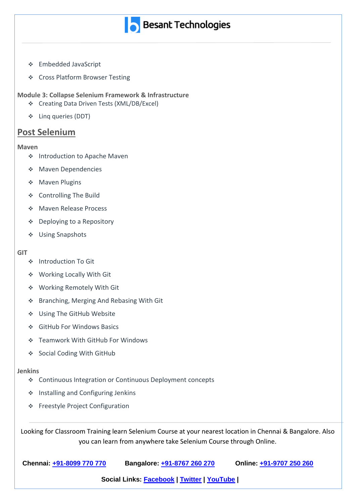

- Embedded JavaScript
- ◆ Cross Platform Browser Testing

**Module 3: Collapse Selenium Framework & Infrastructure**

- Creating Data Driven Tests (XML/DB/Excel)
- Linq queries (DDT)

### **Post Selenium**

#### **Maven**

- ❖ Introduction to Apache Maven
- ◆ Maven Dependencies
- ◆ Maven Plugins
- Controlling The Build
- Maven Release Process
- Deploying to a Repository
- Using Snapshots

#### **GIT**

- ❖ Introduction To Git
- Working Locally With Git
- Working Remotely With Git
- Branching, Merging And Rebasing With Git
- Using The GitHub Website
- GitHub For Windows Basics
- Teamwork With GitHub For Windows
- ❖ Social Coding With GitHub

#### **Jenkins**

Continuous Integration or Continuous Deployment concepts

**[Instagram](https://www.instagram.com/besant_technologies/)**

- ❖ Installing and Configuring Jenkins
- Freestyle Project Configuration

Looking for Classroom Training learn Selenium Course at your nearest location in Chennai & Bangalore. Also you can learn from anywhere take Selenium Course through Online.

| Chennai: +91-8099 770 770 | Bangalore: +91-8767 260 270 | Online: +91-9707 250 260 |
|---------------------------|-----------------------------|--------------------------|
|                           |                             |                          |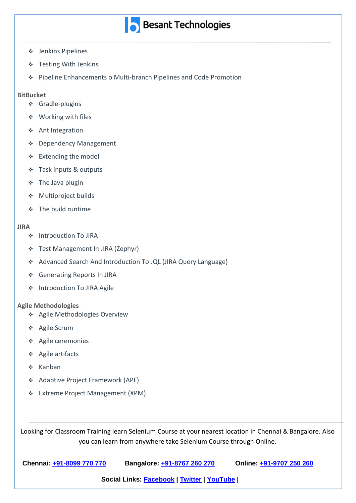- Jenkins Pipelines
- Testing With Jenkins
- Pipeline Enhancements o Multi-branch Pipelines and Code Promotion

#### **BitBucket**

- Gradle-plugins
- ❖ Working with files
- ❖ Ant Integration
- Dependency Management
- Extending the model
- Task inputs & outputs
- $\div$  The Java plugin
- Multiproject builds
- **↑** The build runtime

#### **JIRA**

- ❖ Introduction To JIRA
- Test Management In JIRA (Zephyr)
- Advanced Search And Introduction To JQL (JIRA Query Language)
- Generating Reports In JIRA
- ❖ Introduction To JIRA Agile

#### **Agile Methodologies**

- Agile Methodologies Overview
- ❖ Agile Scrum
- Agile ceremonies
- Agile artifacts
- $\div$  Kanban
- Adaptive Project Framework (APF)
- Extreme Project Management (XPM)

**[Instagram](https://www.instagram.com/besant_technologies/)**

Looking for Classroom Training learn Selenium Course at your nearest location in Chennai & Bangalore. Also you can learn from anywhere take Selenium Course through Online.

| Chennai: +91-8099 770 770 | Bangalore: +91-8767 260 270 | Online: +91-9707 250 260 |
|---------------------------|-----------------------------|--------------------------|
|---------------------------|-----------------------------|--------------------------|